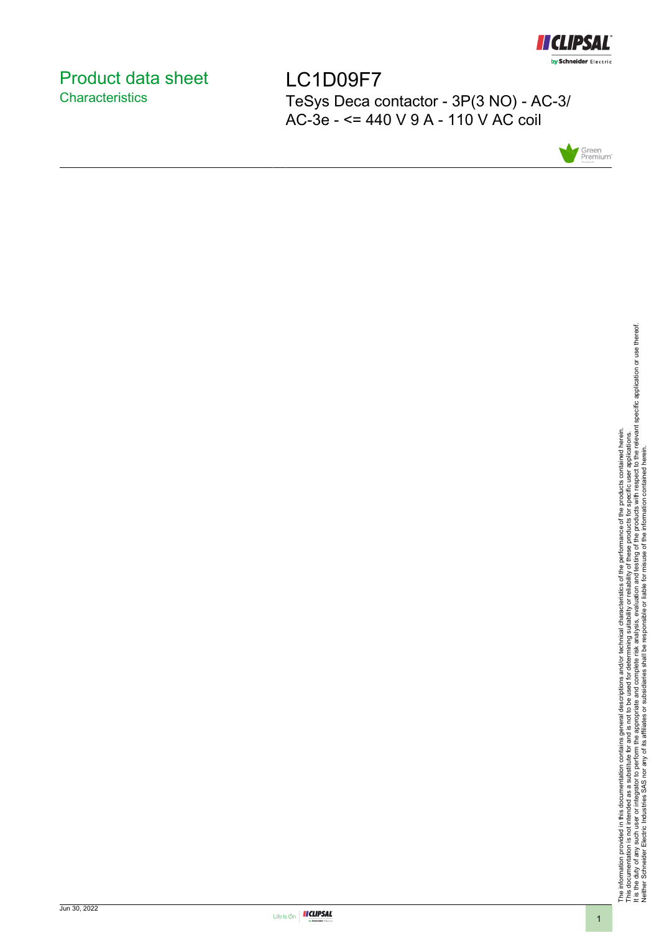

# <span id="page-0-0"></span>Product data sheet **Characteristics**

LC1D09F7 TeSys Deca contactor - 3P(3 NO) - AC-3/ AC-3e - <= 440 V 9 A - 110 V AC coil



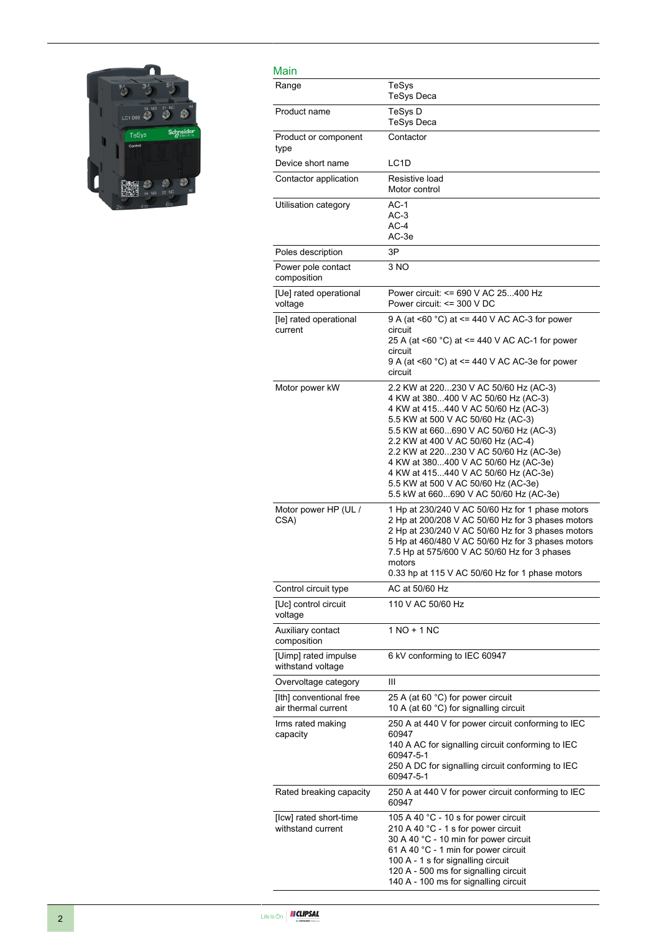

| Main                                           |                                                                                                                                                                                                                                                                                                                                                                                                                                                     |
|------------------------------------------------|-----------------------------------------------------------------------------------------------------------------------------------------------------------------------------------------------------------------------------------------------------------------------------------------------------------------------------------------------------------------------------------------------------------------------------------------------------|
| Range                                          | TeSys<br><b>TeSys Deca</b>                                                                                                                                                                                                                                                                                                                                                                                                                          |
| Product name                                   | TeSys D<br><b>TeSys Deca</b>                                                                                                                                                                                                                                                                                                                                                                                                                        |
| Product or component<br>type                   | Contactor                                                                                                                                                                                                                                                                                                                                                                                                                                           |
| Device short name                              | LC <sub>1</sub> D                                                                                                                                                                                                                                                                                                                                                                                                                                   |
| Contactor application                          | Resistive load<br>Motor control                                                                                                                                                                                                                                                                                                                                                                                                                     |
| Utilisation category                           | $AC-1$<br>$AC-3$<br>AC-4<br>AC-3e                                                                                                                                                                                                                                                                                                                                                                                                                   |
| Poles description                              | 3P                                                                                                                                                                                                                                                                                                                                                                                                                                                  |
| Power pole contact<br>composition              | 3 NO                                                                                                                                                                                                                                                                                                                                                                                                                                                |
| [Ue] rated operational<br>voltage              | Power circuit: <= 690 V AC 25400 Hz<br>Power circuit: <= 300 V DC                                                                                                                                                                                                                                                                                                                                                                                   |
| [le] rated operational<br>current              | 9 A (at <60 °C) at <= 440 V AC AC-3 for power<br>circuit<br>25 A (at <60 °C) at <= 440 V AC AC-1 for power<br>circuit<br>9 A (at <60 °C) at <= 440 V AC AC-3e for power<br>circuit                                                                                                                                                                                                                                                                  |
| Motor power kW                                 | 2.2 KW at 220230 V AC 50/60 Hz (AC-3)<br>4 KW at 380400 V AC 50/60 Hz (AC-3)<br>4 KW at 415440 V AC 50/60 Hz (AC-3)<br>5.5 KW at 500 V AC 50/60 Hz (AC-3)<br>5.5 KW at 660690 V AC 50/60 Hz (AC-3)<br>2.2 KW at 400 V AC 50/60 Hz (AC-4)<br>2.2 KW at 220230 V AC 50/60 Hz (AC-3e)<br>4 KW at 380400 V AC 50/60 Hz (AC-3e)<br>4 KW at 415440 V AC 50/60 Hz (AC-3e)<br>5.5 KW at 500 V AC 50/60 Hz (AC-3e)<br>5.5 kW at 660690 V AC 50/60 Hz (AC-3e) |
| Motor power HP (UL /<br>CSA)                   | 1 Hp at 230/240 V AC 50/60 Hz for 1 phase motors<br>2 Hp at 200/208 V AC 50/60 Hz for 3 phases motors<br>2 Hp at 230/240 V AC 50/60 Hz for 3 phases motors<br>5 Hp at 460/480 V AC 50/60 Hz for 3 phases motors<br>7.5 Hp at 575/600 V AC 50/60 Hz for 3 phases<br>motors<br>0.33 hp at 115 V AC 50/60 Hz for 1 phase motors                                                                                                                        |
| Control circuit type                           | AC at 50/60 Hz                                                                                                                                                                                                                                                                                                                                                                                                                                      |
| [Uc] control circuit<br>voltage                | 110 V AC 50/60 Hz                                                                                                                                                                                                                                                                                                                                                                                                                                   |
| Auxiliary contact<br>composition               | 1 NO + 1 NC                                                                                                                                                                                                                                                                                                                                                                                                                                         |
| [Uimp] rated impulse<br>withstand voltage      | 6 kV conforming to IEC 60947                                                                                                                                                                                                                                                                                                                                                                                                                        |
| Overvoltage category                           | Ш                                                                                                                                                                                                                                                                                                                                                                                                                                                   |
| [Ith] conventional free<br>air thermal current | 25 A (at 60 °C) for power circuit<br>10 A (at 60 °C) for signalling circuit                                                                                                                                                                                                                                                                                                                                                                         |
| Irms rated making<br>capacity                  | 250 A at 440 V for power circuit conforming to IEC<br>60947<br>140 A AC for signalling circuit conforming to IEC<br>60947-5-1<br>250 A DC for signalling circuit conforming to IEC<br>60947-5-1                                                                                                                                                                                                                                                     |
| Rated breaking capacity                        | 250 A at 440 V for power circuit conforming to IEC<br>60947                                                                                                                                                                                                                                                                                                                                                                                         |
| [Icw] rated short-time<br>withstand current    | 105 A 40 °C - 10 s for power circuit<br>210 A 40 °C - 1 s for power circuit<br>30 A 40 °C - 10 min for power circuit<br>61 A 40 °C - 1 min for power circuit<br>100 A - 1 s for signalling circuit<br>120 A - 500 ms for signalling circuit<br>140 A - 100 ms for signalling circuit                                                                                                                                                                |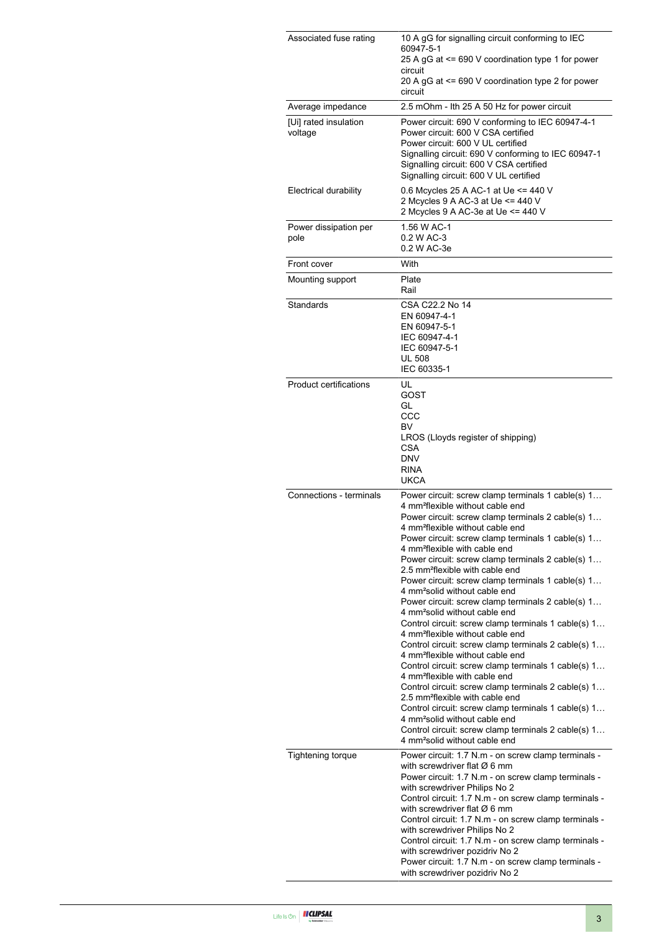| Associated fuse rating           | 10 A gG for signalling circuit conforming to IEC<br>60947-5-1<br>25 A gG at <= 690 V coordination type 1 for power<br>circuit<br>20 A gG at <= 690 V coordination type 2 for power                                                                                                                                                                                                                                                                                                                                                                                                                                                                                                                                                                                                                                                                                                                                                                                                                                                                                                                                                                                                                                                               |  |  |
|----------------------------------|--------------------------------------------------------------------------------------------------------------------------------------------------------------------------------------------------------------------------------------------------------------------------------------------------------------------------------------------------------------------------------------------------------------------------------------------------------------------------------------------------------------------------------------------------------------------------------------------------------------------------------------------------------------------------------------------------------------------------------------------------------------------------------------------------------------------------------------------------------------------------------------------------------------------------------------------------------------------------------------------------------------------------------------------------------------------------------------------------------------------------------------------------------------------------------------------------------------------------------------------------|--|--|
| Average impedance                | circuit<br>2.5 mOhm - Ith 25 A 50 Hz for power circuit                                                                                                                                                                                                                                                                                                                                                                                                                                                                                                                                                                                                                                                                                                                                                                                                                                                                                                                                                                                                                                                                                                                                                                                           |  |  |
| [Ui] rated insulation<br>voltage | Power circuit: 690 V conforming to IEC 60947-4-1<br>Power circuit: 600 V CSA certified<br>Power circuit: 600 V UL certified<br>Signalling circuit: 690 V conforming to IEC 60947-1<br>Signalling circuit: 600 V CSA certified<br>Signalling circuit: 600 V UL certified                                                                                                                                                                                                                                                                                                                                                                                                                                                                                                                                                                                                                                                                                                                                                                                                                                                                                                                                                                          |  |  |
| <b>Electrical durability</b>     | 0.6 Mcycles 25 A AC-1 at Ue <= 440 V<br>2 Mcycles 9 A AC-3 at Ue <= 440 V<br>2 Mcycles 9 A AC-3e at Ue <= 440 V                                                                                                                                                                                                                                                                                                                                                                                                                                                                                                                                                                                                                                                                                                                                                                                                                                                                                                                                                                                                                                                                                                                                  |  |  |
| Power dissipation per<br>pole    | 1.56 W AC-1<br>0.2 W AC-3<br>0.2 W AC-3e                                                                                                                                                                                                                                                                                                                                                                                                                                                                                                                                                                                                                                                                                                                                                                                                                                                                                                                                                                                                                                                                                                                                                                                                         |  |  |
| Front cover                      | With                                                                                                                                                                                                                                                                                                                                                                                                                                                                                                                                                                                                                                                                                                                                                                                                                                                                                                                                                                                                                                                                                                                                                                                                                                             |  |  |
| Mounting support                 | Plate<br>Rail                                                                                                                                                                                                                                                                                                                                                                                                                                                                                                                                                                                                                                                                                                                                                                                                                                                                                                                                                                                                                                                                                                                                                                                                                                    |  |  |
| Standards                        | CSA C22.2 No 14<br>EN 60947-4-1<br>EN 60947-5-1<br>IEC 60947-4-1<br>IEC 60947-5-1<br><b>UL 508</b><br>IEC 60335-1                                                                                                                                                                                                                                                                                                                                                                                                                                                                                                                                                                                                                                                                                                                                                                                                                                                                                                                                                                                                                                                                                                                                |  |  |
| <b>Product certifications</b>    | UL<br>GOST<br>GL<br>CCC<br>BV<br>LROS (Lloyds register of shipping)<br><b>CSA</b><br><b>DNV</b><br><b>RINA</b><br><b>UKCA</b>                                                                                                                                                                                                                                                                                                                                                                                                                                                                                                                                                                                                                                                                                                                                                                                                                                                                                                                                                                                                                                                                                                                    |  |  |
| Connections - terminals          | Power circuit: screw clamp terminals 1 cable(s) 1<br>4 mm <sup>2</sup> flexible without cable end<br>Power circuit: screw clamp terminals 2 cable(s) 1<br>4 mm <sup>2</sup> flexible without cable end<br>Power circuit: screw clamp terminals 1 cable(s) 1<br>4 mm <sup>2</sup> flexible with cable end<br>Power circuit: screw clamp terminals 2 cable(s) 1<br>2.5 mm <sup>2</sup> flexible with cable end<br>Power circuit: screw clamp terminals 1 cable(s) 1<br>4 mm <sup>2</sup> solid without cable end<br>Power circuit: screw clamp terminals 2 cable(s) 1<br>4 mm <sup>2</sup> solid without cable end<br>Control circuit: screw clamp terminals 1 cable(s) 1<br>4 mm <sup>2</sup> flexible without cable end<br>Control circuit: screw clamp terminals 2 cable(s) 1<br>4 mm <sup>2</sup> flexible without cable end<br>Control circuit: screw clamp terminals 1 cable(s) 1<br>4 mm <sup>2</sup> flexible with cable end<br>Control circuit: screw clamp terminals 2 cable(s) 1<br>2.5 mm <sup>2</sup> flexible with cable end<br>Control circuit: screw clamp terminals 1 cable(s) 1<br>4 mm <sup>2</sup> solid without cable end<br>Control circuit: screw clamp terminals 2 cable(s) 1<br>4 mm <sup>2</sup> solid without cable end |  |  |
| <b>Tightening torque</b>         | Power circuit: 1.7 N.m - on screw clamp terminals -<br>with screwdriver flat $\varnothing$ 6 mm<br>Power circuit: 1.7 N.m - on screw clamp terminals -<br>with screwdriver Philips No 2<br>Control circuit: 1.7 N.m - on screw clamp terminals -<br>with screwdriver flat $\varnothing$ 6 mm<br>Control circuit: 1.7 N.m - on screw clamp terminals -<br>with screwdriver Philips No 2<br>Control circuit: 1.7 N.m - on screw clamp terminals -<br>with screwdriver pozidriv No 2<br>Power circuit: 1.7 N.m - on screw clamp terminals -<br>with screwdriver pozidriv No 2                                                                                                                                                                                                                                                                                                                                                                                                                                                                                                                                                                                                                                                                       |  |  |

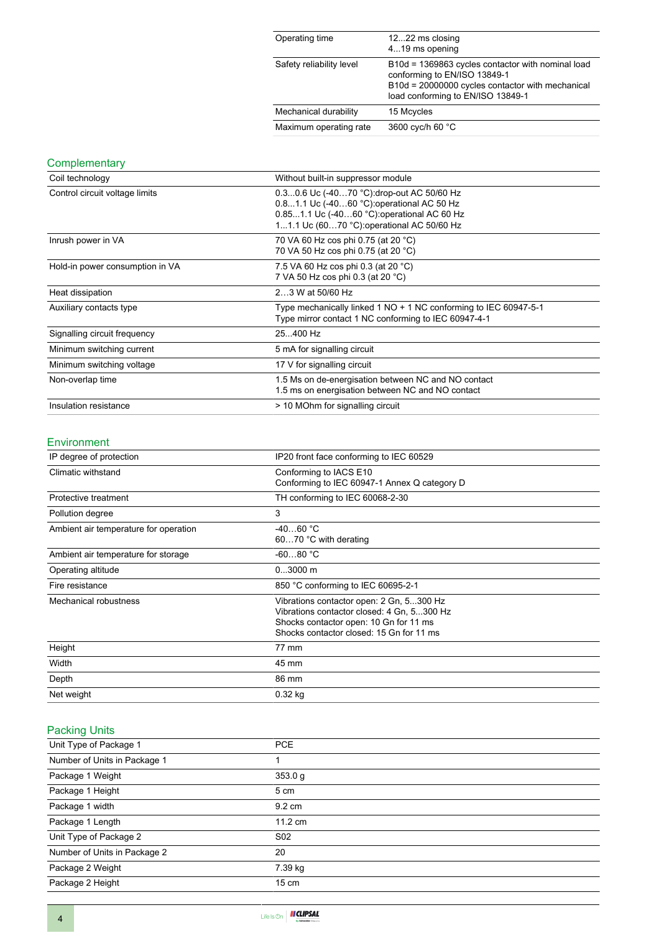| Operating time           | 1222 ms closing<br>419 ms opening                                                                                                                                          |
|--------------------------|----------------------------------------------------------------------------------------------------------------------------------------------------------------------------|
| Safety reliability level | B10d = 1369863 cycles contactor with nominal load<br>conforming to EN/ISO 13849-1<br>B10d = 20000000 cycles contactor with mechanical<br>load conforming to EN/ISO 13849-1 |
| Mechanical durability    | 15 Mcycles                                                                                                                                                                 |
| Maximum operating rate   | 3600 cyc/h 60 °C                                                                                                                                                           |

# **Complementary**

| Coil technology                 | Without built-in suppressor module                                                                                                                                                   |  |  |
|---------------------------------|--------------------------------------------------------------------------------------------------------------------------------------------------------------------------------------|--|--|
| Control circuit voltage limits  | 0.30.6 Uc (-4070 °C): drop-out AC 50/60 Hz<br>0.81.1 Uc (-4060 °C) operational AC 50 Hz<br>0.851.1 Uc (-4060 °C): operational AC 60 Hz<br>11.1 Uc (6070 °C): operational AC 50/60 Hz |  |  |
| Inrush power in VA              | 70 VA 60 Hz cos phi 0.75 (at 20 °C)<br>70 VA 50 Hz cos phi 0.75 (at 20 °C)                                                                                                           |  |  |
| Hold-in power consumption in VA | 7.5 VA 60 Hz cos phi 0.3 (at 20 °C)<br>7 VA 50 Hz cos phi 0.3 (at 20 °C)                                                                                                             |  |  |
| Heat dissipation                | 23 W at 50/60 Hz                                                                                                                                                                     |  |  |
| Auxiliary contacts type         | Type mechanically linked 1 NO + 1 NC conforming to IEC 60947-5-1<br>Type mirror contact 1 NC conforming to IEC 60947-4-1                                                             |  |  |
| Signalling circuit frequency    | 25400 Hz                                                                                                                                                                             |  |  |
| Minimum switching current       | 5 mA for signalling circuit                                                                                                                                                          |  |  |
| Minimum switching voltage       | 17 V for signalling circuit                                                                                                                                                          |  |  |
| Non-overlap time                | 1.5 Ms on de-energisation between NC and NO contact<br>1.5 ms on energisation between NC and NO contact                                                                              |  |  |
| Insulation resistance           | > 10 MOhm for signalling circuit                                                                                                                                                     |  |  |

#### Environment

| IP degree of protection               | IP20 front face conforming to IEC 60529                                                                                                                                      |  |
|---------------------------------------|------------------------------------------------------------------------------------------------------------------------------------------------------------------------------|--|
| Climatic withstand                    | Conforming to IACS E10<br>Conforming to IEC 60947-1 Annex Q category D                                                                                                       |  |
| Protective treatment                  | TH conforming to IEC 60068-2-30                                                                                                                                              |  |
| Pollution degree                      | 3                                                                                                                                                                            |  |
| Ambient air temperature for operation | $-4060 °C$<br>6070 °C with derating                                                                                                                                          |  |
| Ambient air temperature for storage   | $-6080 °C$                                                                                                                                                                   |  |
| Operating altitude                    | $03000$ m                                                                                                                                                                    |  |
| Fire resistance                       | 850 °C conforming to IEC 60695-2-1                                                                                                                                           |  |
| Mechanical robustness                 | Vibrations contactor open: 2 Gn, 5300 Hz<br>Vibrations contactor closed: 4 Gn, 5300 Hz<br>Shocks contactor open: 10 Gn for 11 ms<br>Shocks contactor closed: 15 Gn for 11 ms |  |
| Height                                | 77 mm                                                                                                                                                                        |  |
| Width                                 | 45 mm                                                                                                                                                                        |  |
| Depth                                 | 86 mm                                                                                                                                                                        |  |
| Net weight                            | $0.32$ kg                                                                                                                                                                    |  |

# Packing Units

| Unit Type of Package 1       | <b>PCE</b>        |
|------------------------------|-------------------|
| Number of Units in Package 1 |                   |
| Package 1 Weight             | 353.0 g           |
| Package 1 Height             | 5 cm              |
| Package 1 width              | 9.2 cm            |
| Package 1 Length             | $11.2 \text{ cm}$ |
| Unit Type of Package 2       | S <sub>02</sub>   |
| Number of Units in Package 2 | 20                |
| Package 2 Weight             | 7.39 kg           |
| Package 2 Height             | $15 \text{ cm}$   |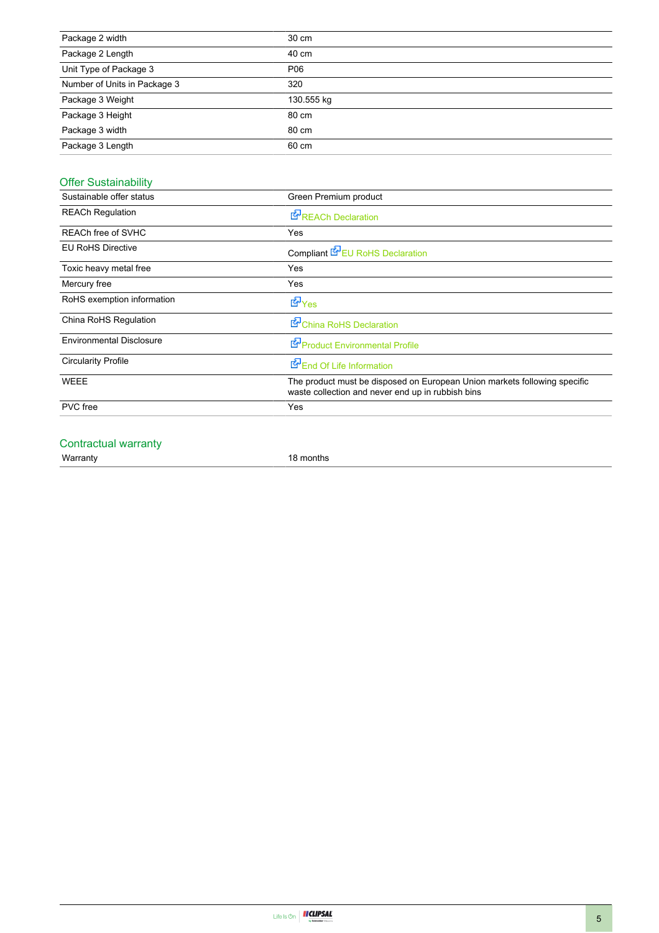| Package 2 width              | 30 cm      |
|------------------------------|------------|
| Package 2 Length             | 40 cm      |
| Unit Type of Package 3       | P06        |
| Number of Units in Package 3 | 320        |
| Package 3 Weight             | 130.555 kg |
| Package 3 Height             | 80 cm      |
| Package 3 width              | 80 cm      |
| Package 3 Length             | 60 cm      |

# Offer Sustainability

| Sustainable offer status        | Green Premium product                                                                                                          |  |  |  |
|---------------------------------|--------------------------------------------------------------------------------------------------------------------------------|--|--|--|
| <b>REACh Regulation</b>         | <b>E</b> REACh Declaration                                                                                                     |  |  |  |
| REACh free of SVHC              | Yes                                                                                                                            |  |  |  |
| <b>EU RoHS Directive</b>        | Compliant <b>E</b> EU RoHS Declaration                                                                                         |  |  |  |
| Toxic heavy metal free          | Yes                                                                                                                            |  |  |  |
| Mercury free                    | Yes                                                                                                                            |  |  |  |
| RoHS exemption information      | <b>E</b> Yes                                                                                                                   |  |  |  |
| China RoHS Regulation           | China RoHS Declaration                                                                                                         |  |  |  |
| <b>Environmental Disclosure</b> | Product Environmental Profile                                                                                                  |  |  |  |
| <b>Circularity Profile</b>      | End Of Life Information                                                                                                        |  |  |  |
| <b>WEEE</b>                     | The product must be disposed on European Union markets following specific<br>waste collection and never end up in rubbish bins |  |  |  |
| <b>PVC</b> free                 | Yes                                                                                                                            |  |  |  |
|                                 |                                                                                                                                |  |  |  |

### Contractual warranty

Warranty 18 months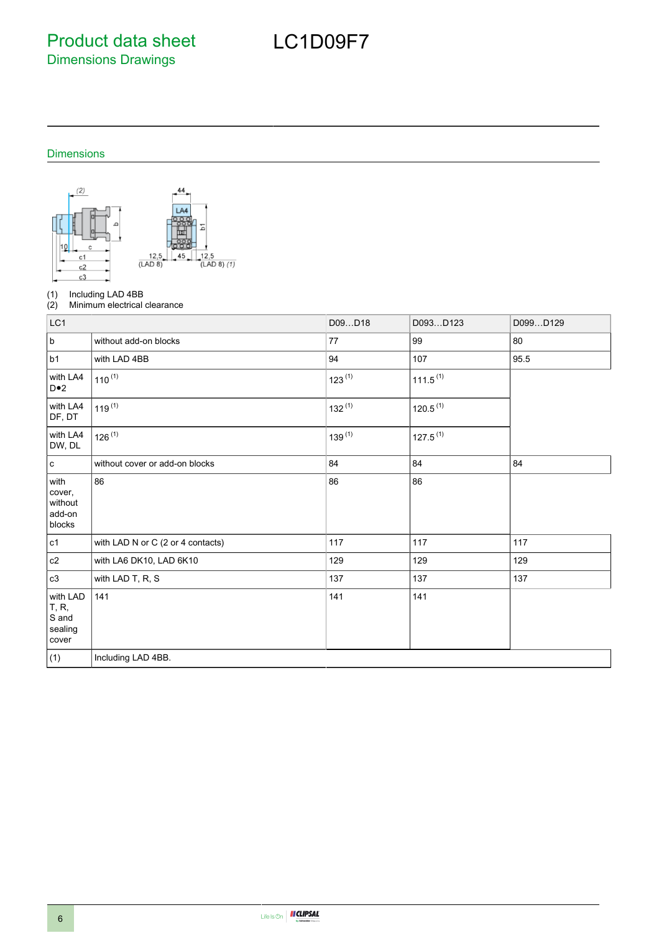Product data sheet Dimensions Drawings

# Dimensions



(1) Including LAD 4BB<br>(2) Minimum electrical

Minimum electrical clearance

| LC1                                                    |                                   | D09D18      | D093D123             | D099D129 |
|--------------------------------------------------------|-----------------------------------|-------------|----------------------|----------|
| $\sf b$                                                | without add-on blocks             | 77          | 99                   | 80       |
| b1                                                     | with LAD 4BB                      | 94          | 107                  | 95.5     |
| with LA4<br>$D \bullet 2$                              | $110^{(1)}$                       | $123^{(1)}$ | $111.5^{(1)}$        |          |
| with LA4<br>DF, DT                                     | $119^{(1)}$                       | $132^{(1)}$ | 120.5 <sup>(1)</sup> |          |
| with LA4<br>DW, DL                                     | $126^{(1)}$                       | $139^{(1)}$ | $127.5^{(1)}$        |          |
| $\mathbf c$                                            | without cover or add-on blocks    | 84          | 84                   | 84       |
| with<br>cover,<br>without<br>add-on<br>blocks          | 86                                | 86          | 86                   |          |
| c1                                                     | with LAD N or C (2 or 4 contacts) | 117         | 117                  | 117      |
| $\mathtt{c2}$                                          | with LA6 DK10, LAD 6K10           | 129         | 129                  | 129      |
| c3                                                     | with LAD T, R, S                  | 137         | 137                  | 137      |
| with LAD<br><b>T</b> , R,<br>S and<br>sealing<br>cover | 141                               | 141         | 141                  |          |
| (1)                                                    | Including LAD 4BB.                |             |                      |          |